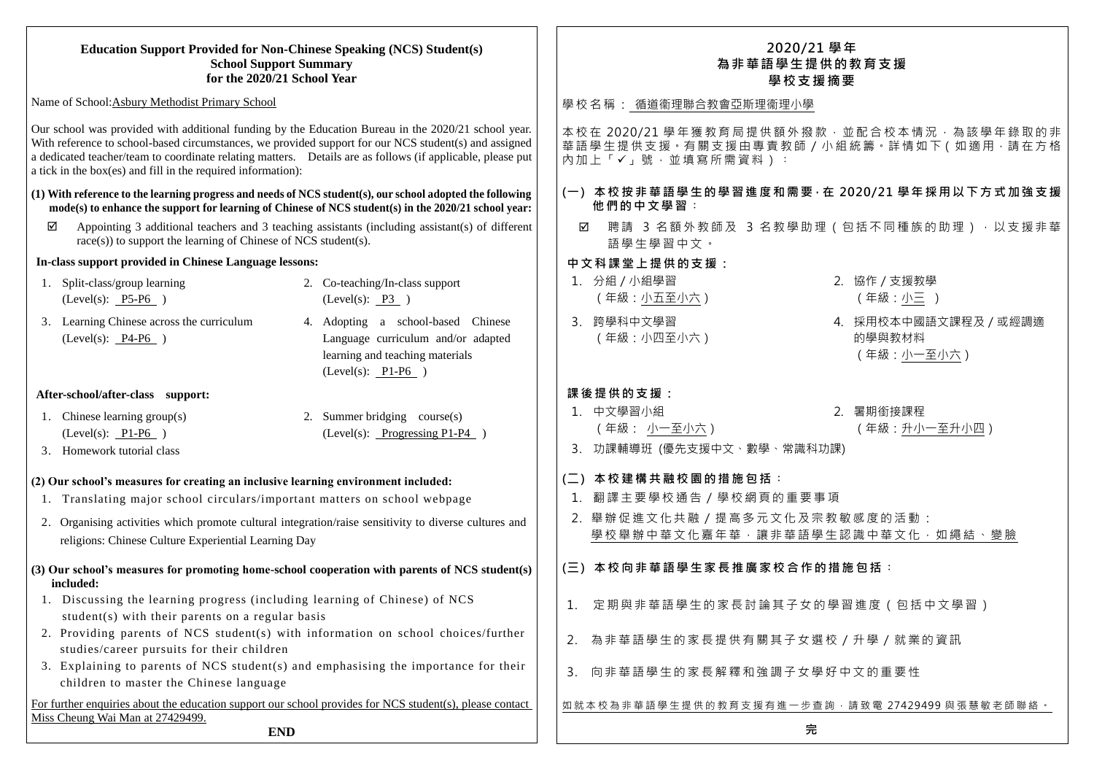#### **Education Support Provided for Non-Chinese Speaking (NCS) Student(s) School Support Summary for the 2020/21 School Year** Name of School:Asbury Methodist Primary School Our school was provided with additional funding by the Education Bureau in the 2020/21 school year. With reference to school-based circumstances, we provided support for our NCS student(s) and assigned a dedicated teacher/team to coordinate relating matters. Details are as follows (if applicable, please put a tick in the box(es) and fill in the required information): **(1) With reference to the learning progress and needs of NCS student(s), our school adopted the following mode(s) to enhance the support for learning of Chinese of NCS student(s) in the 2020/21 school year:**   $\boxtimes$  Appointing 3 additional teachers and 3 teaching assistants (including assistant(s) of different race(s)) to support the learning of Chinese of NCS student(s). **In-class support provided in Chinese Language lessons:** 1. Split-class/group learning (Level(s): P5-P6 ) 2. Co-teaching/In-class support  $(Level(s): P3)$ 3. Learning Chinese across the curriculum (Level(s): P4-P6 ) 4. Adopting a school-based Chinese Language curriculum and/or adapted learning and teaching materials  $(Level(s): P1-P6)$ **After-school/after-class support:** 1. Chinese learning group(s) (Level(s): P1-P6 ) 2. Summer bridging course(s) (Level(s): Progressing P1-P4 ) 3. Homework tutorial class **(2) Our school's measures for creating an inclusive learning environment included:** 1. Translating major school circulars/important matters on school webpage 2. Organising activities which promote cultural integration/raise sensitivity to diverse cultures and religions: Chinese Culture Experiential Learning Day **(3) Our school's measures for promoting home-school cooperation with parents of NCS student(s) included:** 1. Discussing the learning progress (including learning of Chinese) of NCS student(s) with their parents on a regular basis 2. Providing parents of NCS student(s) with information on school choices/further studies/career pursuits for their children 3. Explaining to parents of NCS student(s) and emphasising the importance for their children to master the Chinese language For further enquiries about the education support our school provides for NCS student(s), please contact Miss Cheung Wai Man at 27429499. **END 2020/21 學年 為非華語學生提供的教育支援 學校支援摘要** 學校名稱: 循道衞理聯合教會亞斯理衞理小學 本校在 2020/21 學年獲教育局提供額外撥款,並配合校本情況,為該學年錄取的非 華語學生提供支援。有關支援由專責教師 / 小組統籌。詳情如下 ( 如適用, 請在方格 內加上「√」號,並填寫所需資料): **(一) 本校按非華語學生的學習進度和需要,在 2020/21 學年採用以下方式加強支援 他們的中文學習︰** ☑ 聘請 3 名額外教師及 3 名教學助理 (包括不同種族的助理), 以支援非華 語學生學習中文。 **中文科課堂上提供的支援:** 1. 分組/小組學習 (年級:小五至小六) 3. 跨學科中文學習 (年級:小四至小六) (年級:小一至小六) **課後提供的支援:** 1. 中文學習小組 (年級: 小一至小六) 3. 功課輔導班 (優先支援中文、數學、常識科功課) **(二) 本校建構共融校園的措施包括︰** 1. 翻譯主要學校通告/學校網頁的重要事項 2. 舉辦促進文化共融/提高多元文化及宗教敏感度的活動: 學校舉辦中華文化嘉年華,讓非華語學生認識中華文化,如繩結、變臉 **(三) 本校向非華語學生家長推廣家校合作的措施包括︰** 1. 定期與非華語學生的家長討論其子女的學習進度(包括中文學習) 2. 為非華語學生的家長提供有關其子女選校/升學/就業的資訊 3. 向非華語學生的家長解釋和強調子女學好中文的重要性 如就本校為非華語學生提供的教育支援有進一步查詢,請致電 27429499 與張慧敏老師聯絡。 **完**

- 2. 協作/支援教學 (年級:小三 )
- 4. 採用校本中國語文課程及/或經調適 的學與教材料

2. 暑期銜接課程 (年級:升小一至升小四)